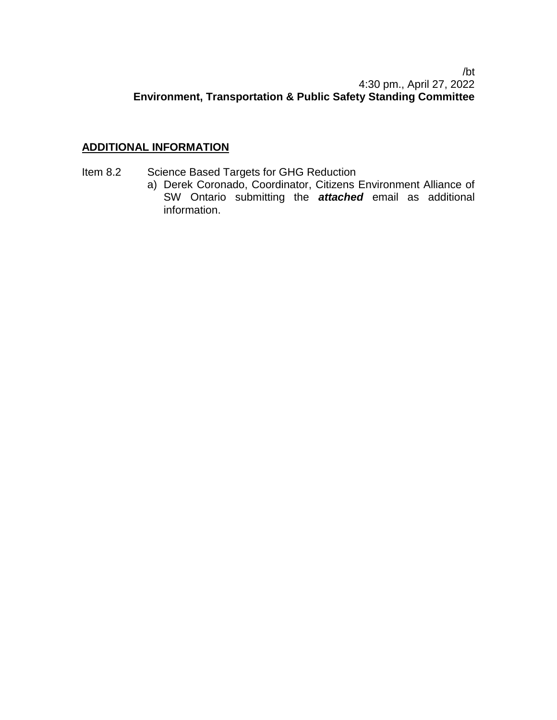## /bt 4:30 pm., April 27, 2022 **Environment, Transportation & Public Safety Standing Committee**

## **ADDITIONAL INFORMATION**

- Item 8.2 Science Based Targets for GHG Reduction
	- a) Derek Coronado, Coordinator, Citizens Environment Alliance of SW Ontario submitting the *attached* email as additional information.